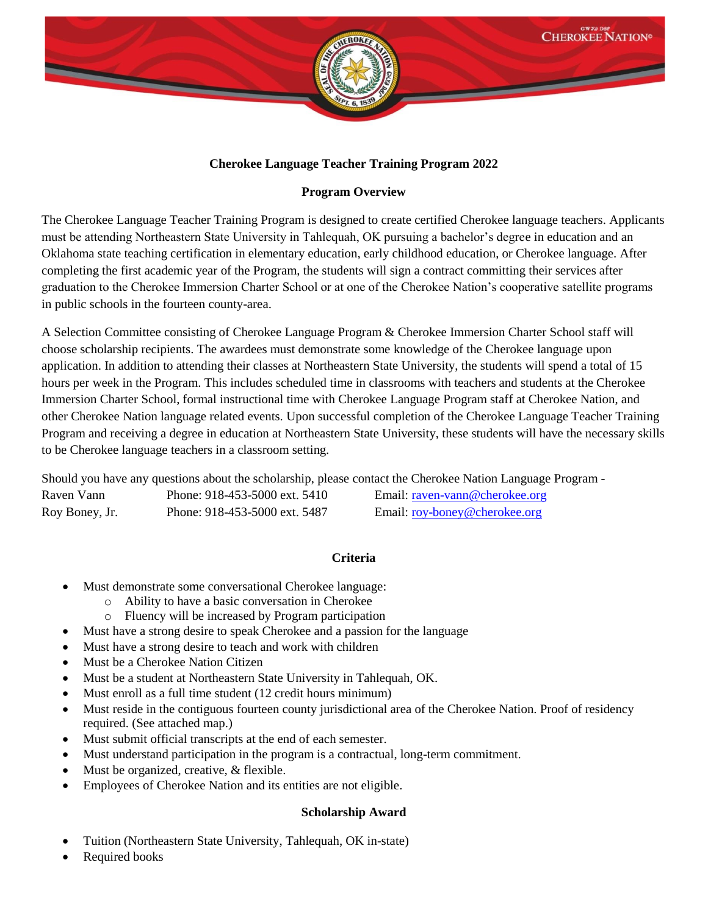

# **Cherokee Language Teacher Training Program 2022**

# **Program Overview**

The Cherokee Language Teacher Training Program is designed to create certified Cherokee language teachers. Applicants must be attending Northeastern State University in Tahlequah, OK pursuing a bachelor's degree in education and an Oklahoma state teaching certification in elementary education, early childhood education, or Cherokee language. After completing the first academic year of the Program, the students will sign a contract committing their services after graduation to the Cherokee Immersion Charter School or at one of the Cherokee Nation's cooperative satellite programs in public schools in the fourteen county-area.

A Selection Committee consisting of Cherokee Language Program & Cherokee Immersion Charter School staff will choose scholarship recipients. The awardees must demonstrate some knowledge of the Cherokee language upon application. In addition to attending their classes at Northeastern State University, the students will spend a total of 15 hours per week in the Program. This includes scheduled time in classrooms with teachers and students at the Cherokee Immersion Charter School, formal instructional time with Cherokee Language Program staff at Cherokee Nation, and other Cherokee Nation language related events. Upon successful completion of the Cherokee Language Teacher Training Program and receiving a degree in education at Northeastern State University, these students will have the necessary skills to be Cherokee language teachers in a classroom setting.

Should you have any questions about the scholarship, please contact the Cherokee Nation Language Program Raven Vann Phone: 918-453-5000 ext. 5410 Email: [raven-vann@cherokee.org](mailto:raven-vann@cherokee.org)

| Kavul valill   | THUILE, 210-433-3000 CAL 3410 | Ethan. Tayen-valing cheforce.org |
|----------------|-------------------------------|----------------------------------|
| Roy Boney, Jr. | Phone: 918-453-5000 ext. 5487 | Email: roy-boney@cherokee.org    |

# **Criteria**

- Must demonstrate some conversational Cherokee language:
	- o Ability to have a basic conversation in Cherokee
	- o Fluency will be increased by Program participation
- Must have a strong desire to speak Cherokee and a passion for the language
- Must have a strong desire to teach and work with children
- Must be a Cherokee Nation Citizen
- Must be a student at Northeastern State University in Tahlequah, OK.
- Must enroll as a full time student (12 credit hours minimum)
- Must reside in the contiguous fourteen county jurisdictional area of the Cherokee Nation. Proof of residency required. (See attached map.)
- Must submit official transcripts at the end of each semester.
- Must understand participation in the program is a contractual, long-term commitment.
- Must be organized, creative, & flexible.
- Employees of Cherokee Nation and its entities are not eligible.

# **Scholarship Award**

- Tuition (Northeastern State University, Tahlequah, OK in-state)
- Required books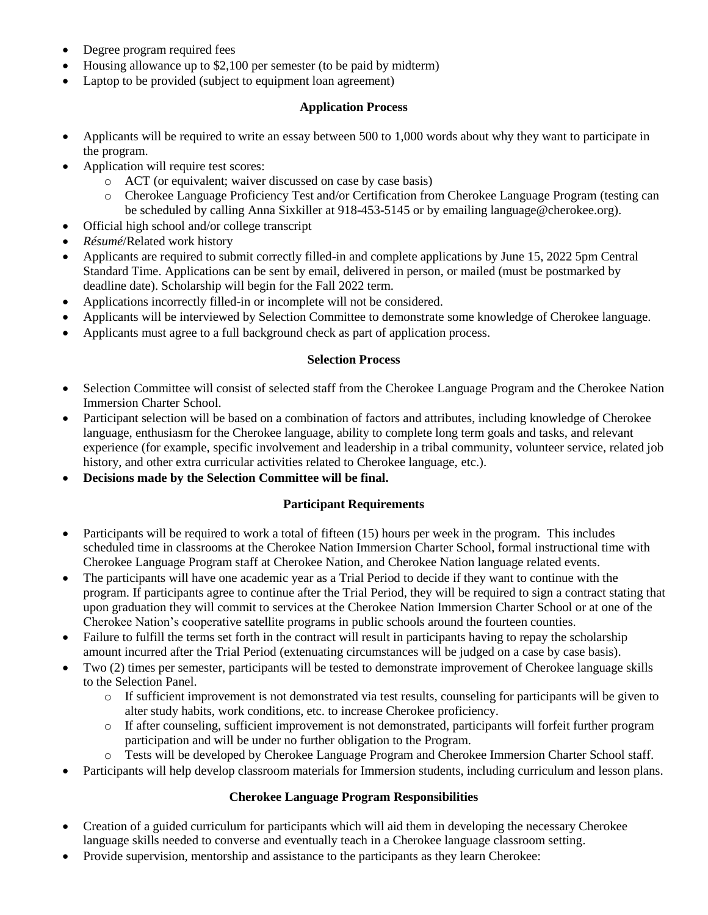- Degree program required fees
- Housing allowance up to \$2,100 per semester (to be paid by midterm)
- Laptop to be provided (subject to equipment loan agreement)

### **Application Process**

- Applicants will be required to write an essay between 500 to 1,000 words about why they want to participate in the program.
- Application will require test scores:
	- o ACT (or equivalent; waiver discussed on case by case basis)
	- o Cherokee Language Proficiency Test and/or Certification from Cherokee Language Program (testing can be scheduled by calling Anna Sixkiller at 918-453-5145 or by emailing language@cherokee.org).
- Official high school and/or college transcript
- *Résumé*/Related work history
- Applicants are required to submit correctly filled-in and complete applications by June 15, 2022 5pm Central Standard Time. Applications can be sent by email, delivered in person, or mailed (must be postmarked by deadline date). Scholarship will begin for the Fall 2022 term.
- Applications incorrectly filled-in or incomplete will not be considered.
- Applicants will be interviewed by Selection Committee to demonstrate some knowledge of Cherokee language.
- Applicants must agree to a full background check as part of application process.

## **Selection Process**

- Selection Committee will consist of selected staff from the Cherokee Language Program and the Cherokee Nation Immersion Charter School.
- Participant selection will be based on a combination of factors and attributes, including knowledge of Cherokee language, enthusiasm for the Cherokee language, ability to complete long term goals and tasks, and relevant experience (for example, specific involvement and leadership in a tribal community, volunteer service, related job history, and other extra curricular activities related to Cherokee language, etc.).
- **Decisions made by the Selection Committee will be final.**

# **Participant Requirements**

- Participants will be required to work a total of fifteen (15) hours per week in the program. This includes scheduled time in classrooms at the Cherokee Nation Immersion Charter School, formal instructional time with Cherokee Language Program staff at Cherokee Nation, and Cherokee Nation language related events.
- The participants will have one academic year as a Trial Period to decide if they want to continue with the program. If participants agree to continue after the Trial Period, they will be required to sign a contract stating that upon graduation they will commit to services at the Cherokee Nation Immersion Charter School or at one of the Cherokee Nation's cooperative satellite programs in public schools around the fourteen counties.
- Failure to fulfill the terms set forth in the contract will result in participants having to repay the scholarship amount incurred after the Trial Period (extenuating circumstances will be judged on a case by case basis).
- Two (2) times per semester, participants will be tested to demonstrate improvement of Cherokee language skills to the Selection Panel.
	- o If sufficient improvement is not demonstrated via test results, counseling for participants will be given to alter study habits, work conditions, etc. to increase Cherokee proficiency.
	- o If after counseling, sufficient improvement is not demonstrated, participants will forfeit further program participation and will be under no further obligation to the Program.
	- o Tests will be developed by Cherokee Language Program and Cherokee Immersion Charter School staff.
- Participants will help develop classroom materials for Immersion students, including curriculum and lesson plans.

# **Cherokee Language Program Responsibilities**

- Creation of a guided curriculum for participants which will aid them in developing the necessary Cherokee language skills needed to converse and eventually teach in a Cherokee language classroom setting.
- Provide supervision, mentorship and assistance to the participants as they learn Cherokee: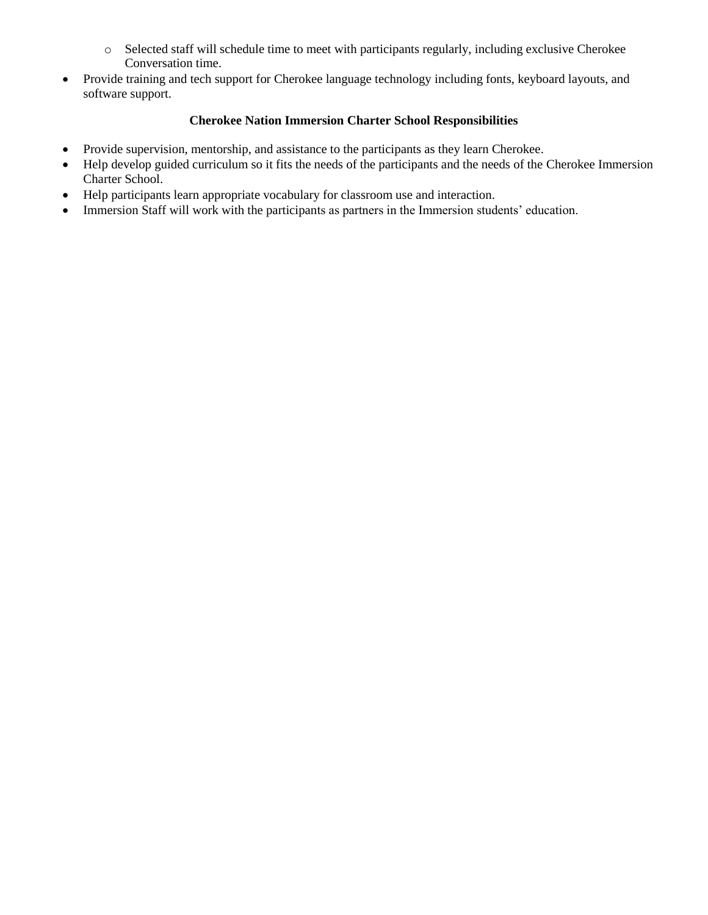- o Selected staff will schedule time to meet with participants regularly, including exclusive Cherokee Conversation time.
- Provide training and tech support for Cherokee language technology including fonts, keyboard layouts, and software support.

# **Cherokee Nation Immersion Charter School Responsibilities**

- Provide supervision, mentorship, and assistance to the participants as they learn Cherokee.
- Help develop guided curriculum so it fits the needs of the participants and the needs of the Cherokee Immersion Charter School.
- Help participants learn appropriate vocabulary for classroom use and interaction.
- Immersion Staff will work with the participants as partners in the Immersion students' education.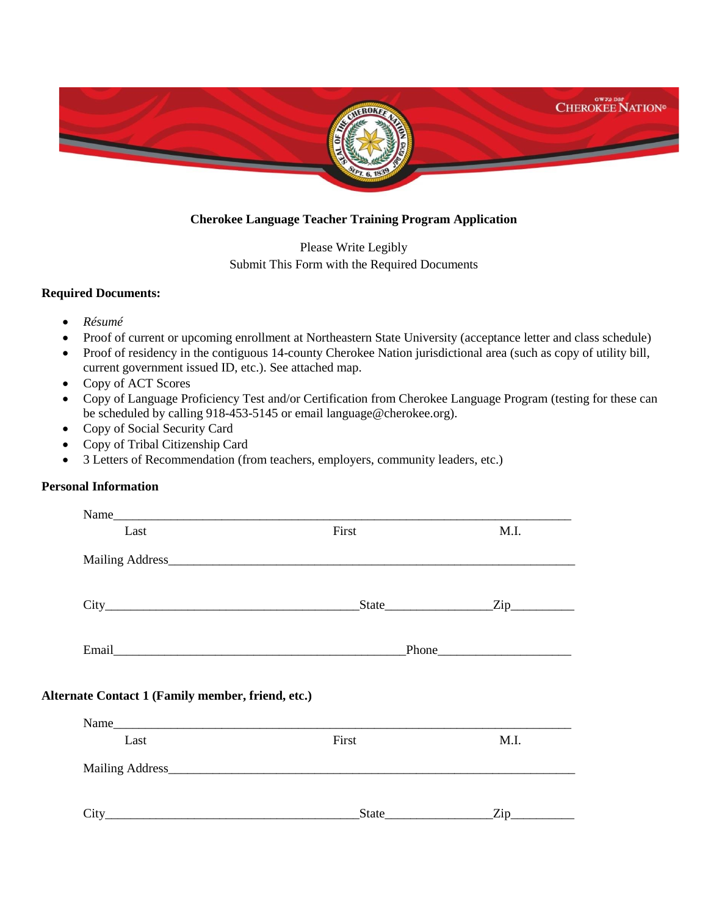

## **Cherokee Language Teacher Training Program Application**

Please Write Legibly Submit This Form with the Required Documents

#### **Required Documents:**

- *Résumé*
- Proof of current or upcoming enrollment at Northeastern State University (acceptance letter and class schedule)
- Proof of residency in the contiguous 14-county Cherokee Nation jurisdictional area (such as copy of utility bill, current government issued ID, etc.). See attached map.
- Copy of ACT Scores
- Copy of Language Proficiency Test and/or Certification from Cherokee Language Program (testing for these can be scheduled by calling 918-453-5145 or email language@cherokee.org).
- Copy of Social Security Card
- Copy of Tribal Citizenship Card
- 3 Letters of Recommendation (from teachers, employers, community leaders, etc.)

### **Personal Information**

| Last                                              | First | M.I.          |
|---------------------------------------------------|-------|---------------|
|                                                   |       |               |
|                                                   |       | $State$ $Zip$ |
|                                                   |       |               |
|                                                   |       |               |
| Alternate Contact 1 (Family member, friend, etc.) |       |               |
|                                                   |       |               |
| Last                                              | First | M.I.          |
|                                                   |       |               |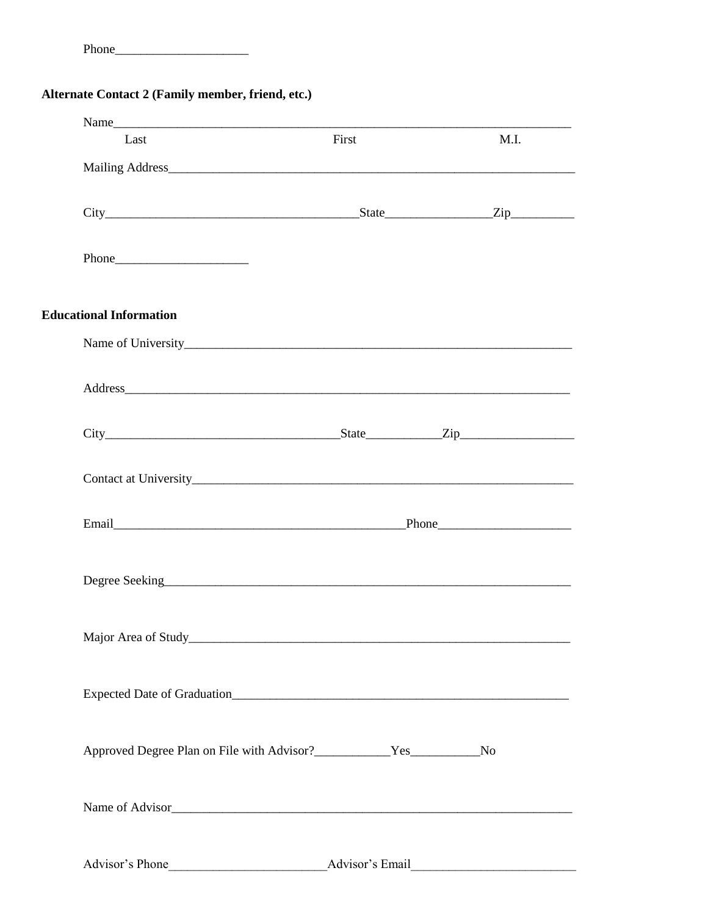# Alternate Contact 2 (Family member, friend, etc.)

| Name<br>Last                   | First           | M.I. |
|--------------------------------|-----------------|------|
|                                |                 |      |
| $City$ $City$ $Zip$            |                 |      |
|                                |                 |      |
| <b>Educational Information</b> |                 |      |
|                                |                 |      |
|                                |                 |      |
|                                |                 |      |
|                                |                 |      |
|                                |                 |      |
|                                |                 |      |
|                                |                 |      |
|                                |                 |      |
|                                |                 |      |
|                                |                 |      |
| Advisor's Phone                | Advisor's Email |      |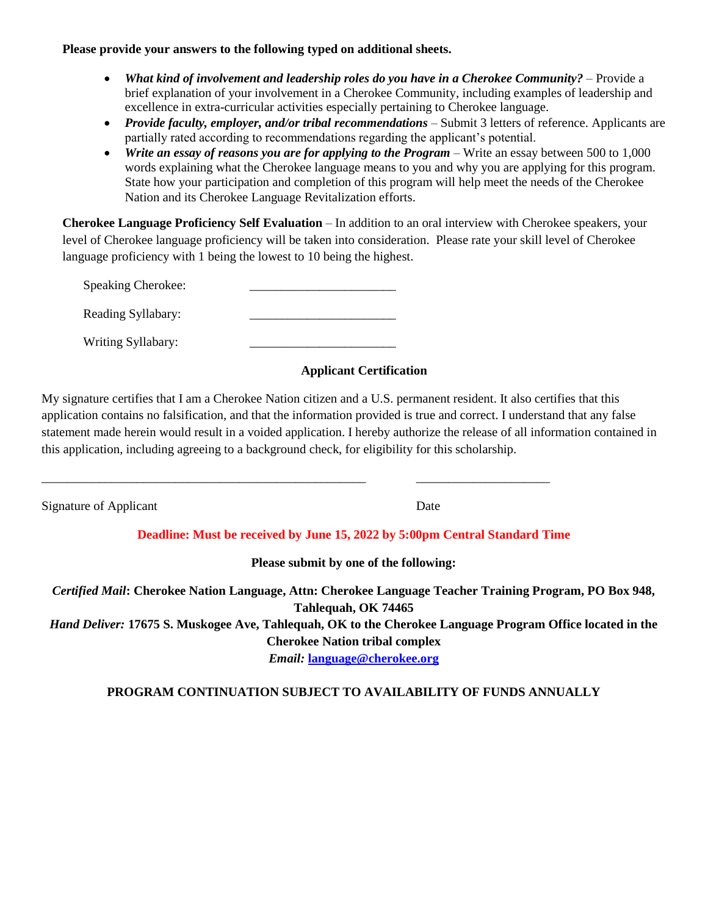#### **Please provide your answers to the following typed on additional sheets.**

- *What kind of involvement and leadership roles do you have in a Cherokee Community?* Provide a brief explanation of your involvement in a Cherokee Community, including examples of leadership and excellence in extra-curricular activities especially pertaining to Cherokee language.
- *Provide faculty, employer, and/or tribal recommendations* Submit 3 letters of reference. Applicants are partially rated according to recommendations regarding the applicant's potential.
- *Write an essay of reasons you are for applying to the Program* Write an essay between 500 to 1,000 words explaining what the Cherokee language means to you and why you are applying for this program. State how your participation and completion of this program will help meet the needs of the Cherokee Nation and its Cherokee Language Revitalization efforts.

**Cherokee Language Proficiency Self Evaluation** – In addition to an oral interview with Cherokee speakers, your level of Cherokee language proficiency will be taken into consideration. Please rate your skill level of Cherokee language proficiency with 1 being the lowest to 10 being the highest.

Speaking Cherokee:

Reading Syllabary:

Writing Syllabary:

# **Applicant Certification**

My signature certifies that I am a Cherokee Nation citizen and a U.S. permanent resident. It also certifies that this application contains no falsification, and that the information provided is true and correct. I understand that any false statement made herein would result in a voided application. I hereby authorize the release of all information contained in this application, including agreeing to a background check, for eligibility for this scholarship.

\_\_\_\_\_\_\_\_\_\_\_\_\_\_\_\_\_\_\_\_\_\_\_\_\_\_\_\_\_\_\_\_\_\_\_\_\_\_\_\_\_\_\_\_\_\_\_\_\_\_\_ \_\_\_\_\_\_\_\_\_\_\_\_\_\_\_\_\_\_\_\_\_

Signature of Applicant Date

# **Deadline: Must be received by June 15, 2022 by 5:00pm Central Standard Time**

**Please submit by one of the following:**

*Certified Mail***: Cherokee Nation Language, Attn: Cherokee Language Teacher Training Program, PO Box 948, Tahlequah, OK 74465** *Hand Deliver:* **17675 S. Muskogee Ave, Tahlequah, OK to the Cherokee Language Program Office located in the Cherokee Nation tribal complex**

*Email:* **[language@cherokee.org](mailto:language@cherokee.org?subject=Scholarship%20Application)**

# **PROGRAM CONTINUATION SUBJECT TO AVAILABILITY OF FUNDS ANNUALLY**